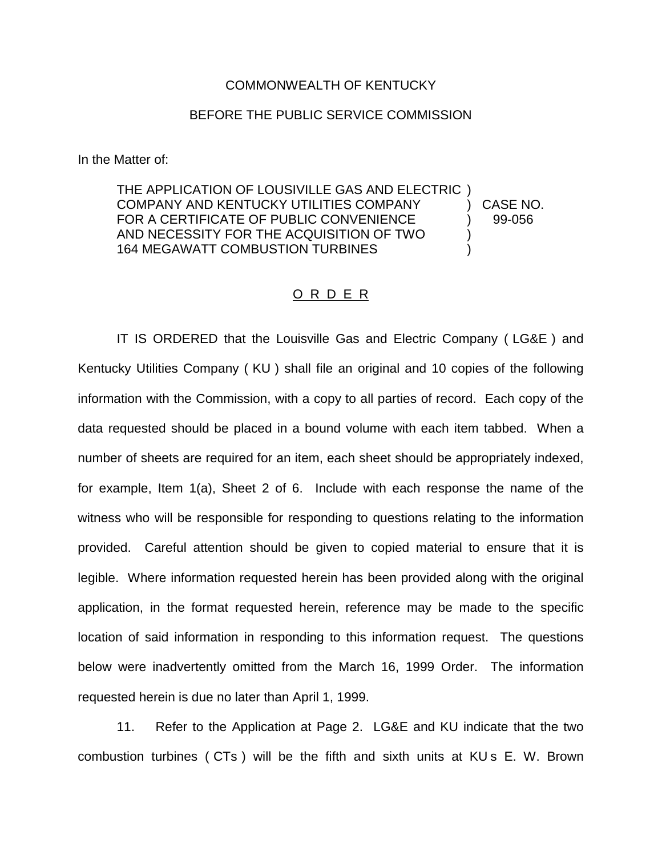## COMMONWEALTH OF KENTUCKY

## BEFORE THE PUBLIC SERVICE COMMISSION

In the Matter of:

THE APPLICATION OF LOUSIVILLE GAS AND ELECTRIC ) COMPANY AND KENTUCKY UTILITIES COMPANY ) CASE NO. FOR A CERTIFICATE OF PUBLIC CONVENIENCE (99-056 AND NECESSITY FOR THE ACQUISITION OF TWO ) 164 MEGAWATT COMBUSTION TURBINES

## O R D E R

IT IS ORDERED that the Louisville Gas and Electric Company ( LG&E ) and Kentucky Utilities Company ( KU ) shall file an original and 10 copies of the following information with the Commission, with a copy to all parties of record. Each copy of the data requested should be placed in a bound volume with each item tabbed. When a number of sheets are required for an item, each sheet should be appropriately indexed, for example, Item 1(a), Sheet 2 of 6. Include with each response the name of the witness who will be responsible for responding to questions relating to the information provided. Careful attention should be given to copied material to ensure that it is legible. Where information requested herein has been provided along with the original application, in the format requested herein, reference may be made to the specific location of said information in responding to this information request. The questions below were inadvertently omitted from the March 16, 1999 Order. The information requested herein is due no later than April 1, 1999.

11. Refer to the Application at Page 2. LG&E and KU indicate that the two combustion turbines ( CTs ) will be the fifth and sixth units at KU s E. W. Brown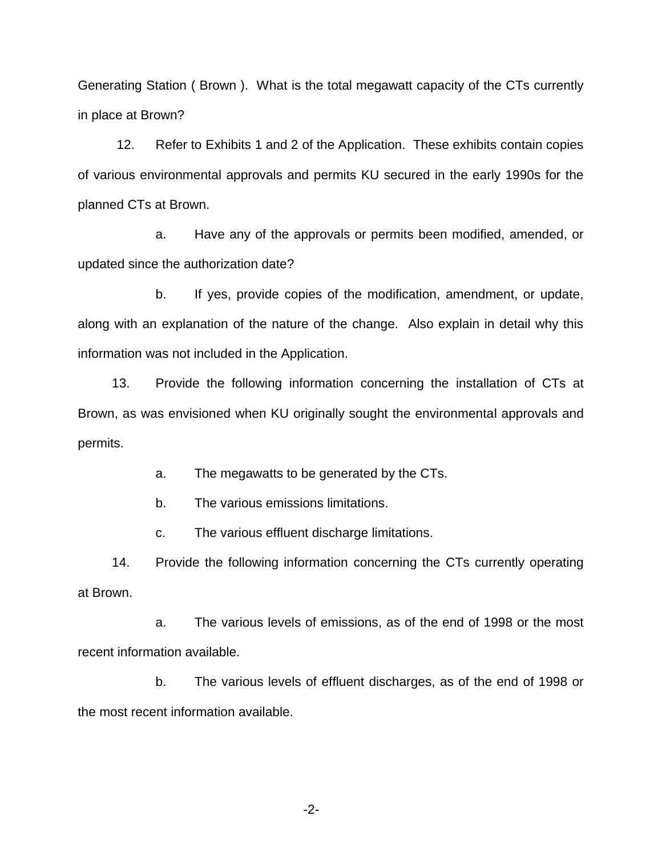Generating Station ( Brown ). What is the total megawatt capacity of the CTs currently in place at Brown?

12. Refer to Exhibits 1 and 2 of the Application. These exhibits contain copies of various environmental approvals and permits KU secured in the early 1990s for the planned CTs at Brown.

a. Have any of the approvals or permits been modified, amended, or updated since the authorization date?

b. If yes, provide copies of the modification, amendment, or update, along with an explanation of the nature of the change. Also explain in detail why this information was not included in the Application.

13. Provide the following information concerning the installation of CTs at Brown, as was envisioned when KU originally sought the environmental approvals and permits.

a. The megawatts to be generated by the CTs.

b. The various emissions limitations.

c. The various effluent discharge limitations.

14. Provide the following information concerning the CTs currently operating at Brown.

a. The various levels of emissions, as of the end of 1998 or the most recent information available.

b. The various levels of effluent discharges, as of the end of 1998 or the most recent information available.

-2-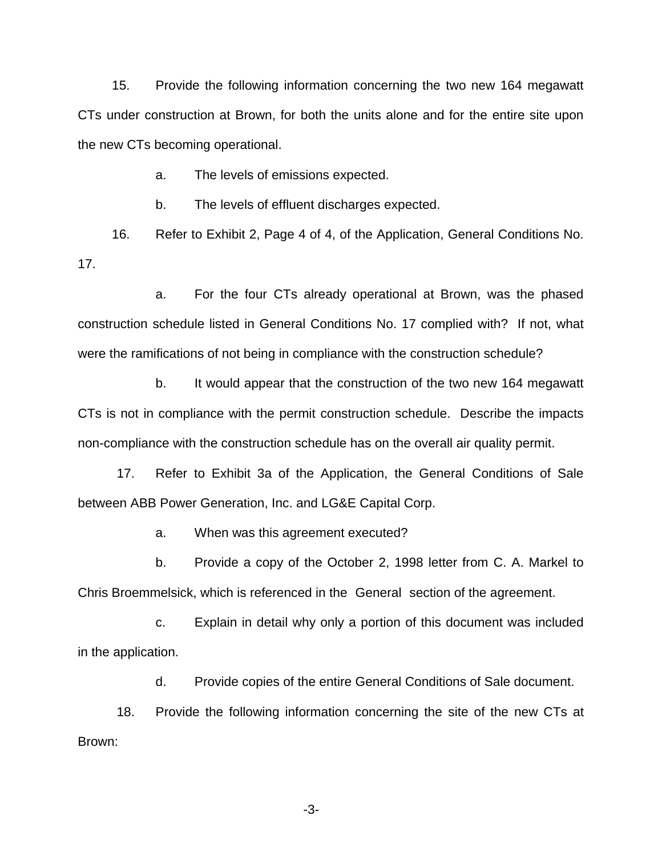15. Provide the following information concerning the two new 164 megawatt CTs under construction at Brown, for both the units alone and for the entire site upon the new CTs becoming operational.

a. The levels of emissions expected.

b. The levels of effluent discharges expected.

16. Refer to Exhibit 2, Page 4 of 4, of the Application, General Conditions No. 17.

a. For the four CTs already operational at Brown, was the phased construction schedule listed in General Conditions No. 17 complied with? If not, what were the ramifications of not being in compliance with the construction schedule?

b. It would appear that the construction of the two new 164 megawatt CTs is not in compliance with the permit construction schedule. Describe the impacts non-compliance with the construction schedule has on the overall air quality permit.

17. Refer to Exhibit 3a of the Application, the General Conditions of Sale between ABB Power Generation, Inc. and LG&E Capital Corp.

a. When was this agreement executed?

b. Provide a copy of the October 2, 1998 letter from C. A. Markel to Chris Broemmelsick, which is referenced in the General section of the agreement.

c. Explain in detail why only a portion of this document was included in the application.

d. Provide copies of the entire General Conditions of Sale document.

18. Provide the following information concerning the site of the new CTs at Brown:

-3-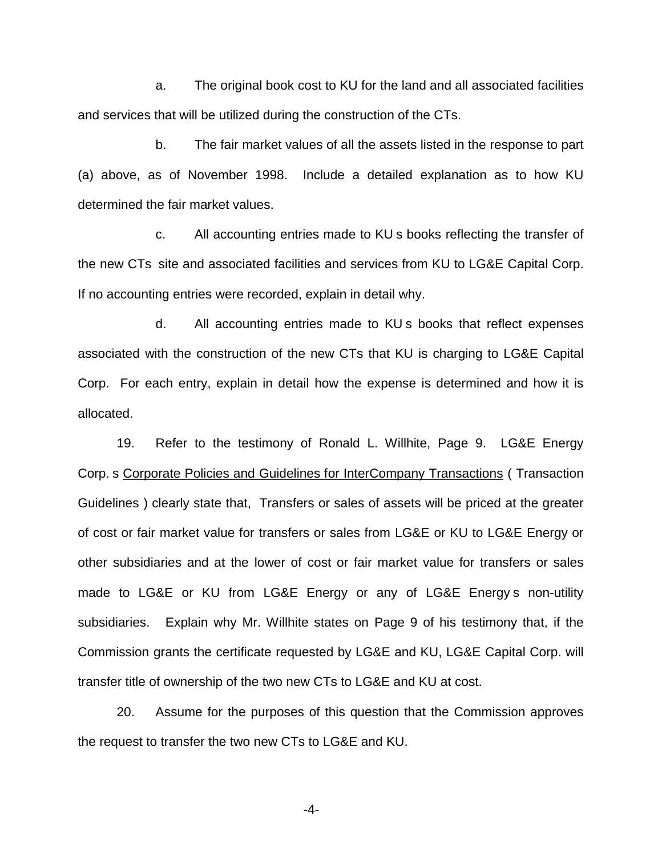a. The original book cost to KU for the land and all associated facilities and services that will be utilized during the construction of the CTs.

b. The fair market values of all the assets listed in the response to part (a) above, as of November 1998. Include a detailed explanation as to how KU determined the fair market values.

c. All accounting entries made to KU s books reflecting the transfer of the new CTs site and associated facilities and services from KU to LG&E Capital Corp. If no accounting entries were recorded, explain in detail why.

d. All accounting entries made to KU s books that reflect expenses associated with the construction of the new CTs that KU is charging to LG&E Capital Corp. For each entry, explain in detail how the expense is determined and how it is allocated.

19. Refer to the testimony of Ronald L. Willhite, Page 9. LG&E Energy Corp. s Corporate Policies and Guidelines for InterCompany Transactions ( Transaction Guidelines ) clearly state that, Transfers or sales of assets will be priced at the greater of cost or fair market value for transfers or sales from LG&E or KU to LG&E Energy or other subsidiaries and at the lower of cost or fair market value for transfers or sales made to LG&E or KU from LG&E Energy or any of LG&E Energy s non-utility subsidiaries. Explain why Mr. Willhite states on Page 9 of his testimony that, if the Commission grants the certificate requested by LG&E and KU, LG&E Capital Corp. will transfer title of ownership of the two new CTs to LG&E and KU at cost.

20. Assume for the purposes of this question that the Commission approves the request to transfer the two new CTs to LG&E and KU.

-4-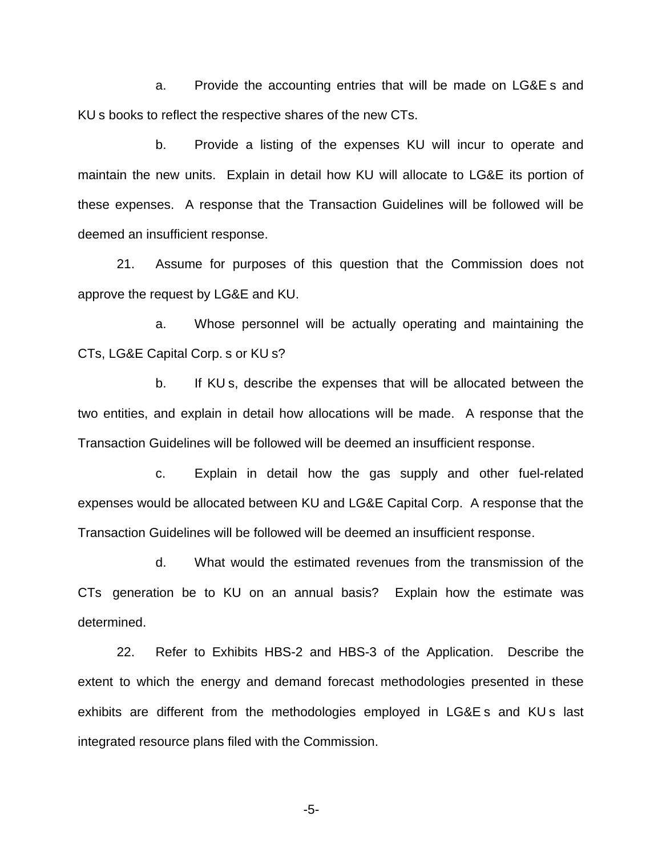a. Provide the accounting entries that will be made on LG&E s and KU s books to reflect the respective shares of the new CTs.

b. Provide a listing of the expenses KU will incur to operate and maintain the new units. Explain in detail how KU will allocate to LG&E its portion of these expenses. A response that the Transaction Guidelines will be followed will be deemed an insufficient response.

21. Assume for purposes of this question that the Commission does not approve the request by LG&E and KU.

a. Whose personnel will be actually operating and maintaining the CTs, LG&E Capital Corp. s or KU s?

b. If KU s, describe the expenses that will be allocated between the two entities, and explain in detail how allocations will be made. A response that the Transaction Guidelines will be followed will be deemed an insufficient response.

c. Explain in detail how the gas supply and other fuel-related expenses would be allocated between KU and LG&E Capital Corp. A response that the Transaction Guidelines will be followed will be deemed an insufficient response.

d. What would the estimated revenues from the transmission of the CTs generation be to KU on an annual basis? Explain how the estimate was determined.

22. Refer to Exhibits HBS-2 and HBS-3 of the Application. Describe the extent to which the energy and demand forecast methodologies presented in these exhibits are different from the methodologies employed in LG&E s and KU s last integrated resource plans filed with the Commission.

-5-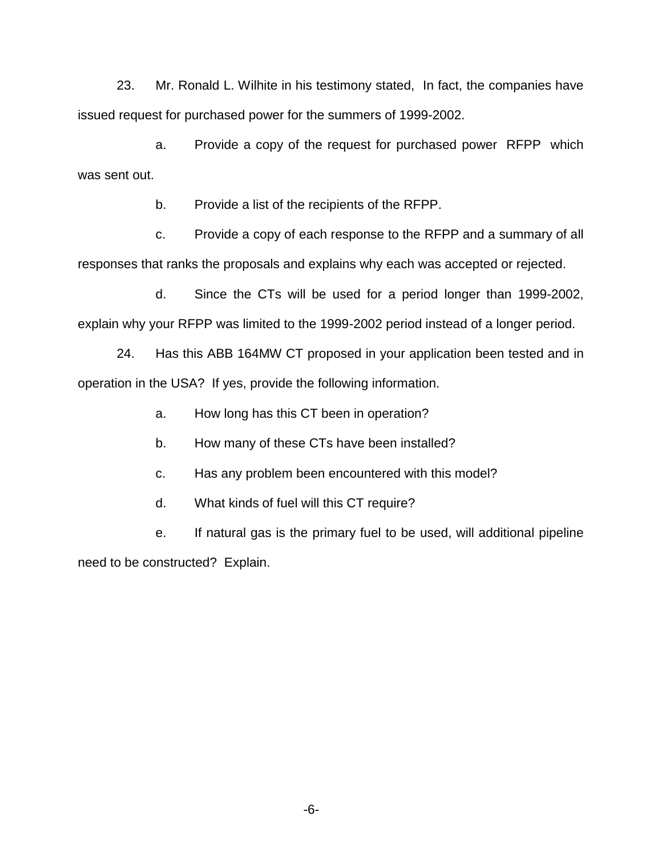23. Mr. Ronald L. Wilhite in his testimony stated, In fact, the companies have issued request for purchased power for the summers of 1999-2002.

a. Provide a copy of the request for purchased power RFPP which was sent out.

b. Provide a list of the recipients of the RFPP.

c. Provide a copy of each response to the RFPP and a summary of all responses that ranks the proposals and explains why each was accepted or rejected.

d. Since the CTs will be used for a period longer than 1999-2002, explain why your RFPP was limited to the 1999-2002 period instead of a longer period.

24. Has this ABB 164MW CT proposed in your application been tested and in operation in the USA? If yes, provide the following information.

a. How long has this CT been in operation?

b. How many of these CTs have been installed?

c. Has any problem been encountered with this model?

d. What kinds of fuel will this CT require?

e. If natural gas is the primary fuel to be used, will additional pipeline need to be constructed? Explain.

-6-